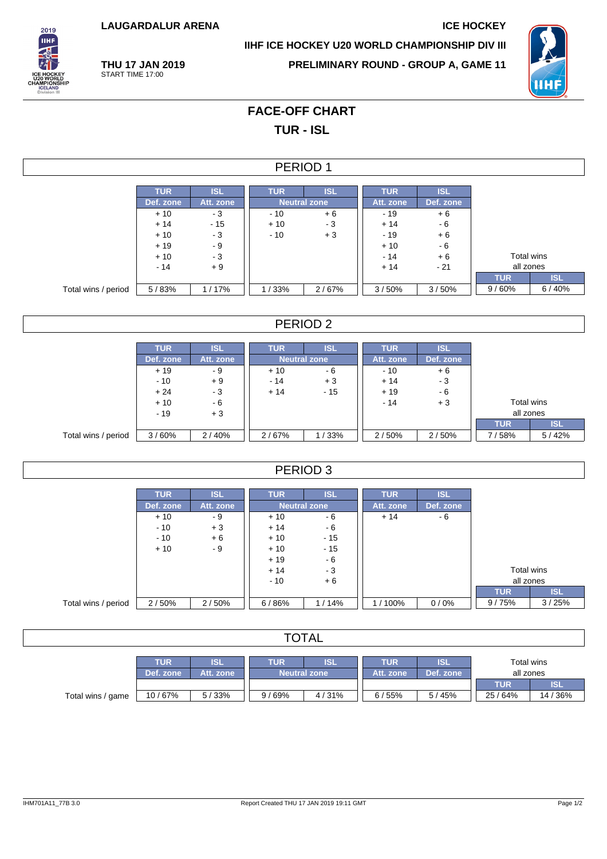**LAUGARDALUR ARENA ICE HOCKEY**

**THU 17 JAN 2019** START TIME 17:00



**IIHF ICE HOCKEY U20 WORLD CHAMPIONSHIP DIV III**

**PRELIMINARY ROUND - GROUP A, GAME 11**



## **FACE-OFF CHART TUR - ISL**

|                     |            |            | PERIOD 1   |                     |            |            |            |            |
|---------------------|------------|------------|------------|---------------------|------------|------------|------------|------------|
|                     | <b>TUR</b> | <b>ISL</b> | <b>TUR</b> | <b>ISL</b>          | <b>TUR</b> | <b>ISL</b> |            |            |
|                     | Def. zone  | Att. zone  |            | <b>Neutral zone</b> | Att. zone  | Def. zone  |            |            |
|                     | $+10$      | $-3$       | $-10$      | $+6$                | $-19$      | $+6$       |            |            |
|                     | $+14$      | $-15$      | $+10$      | $-3$                | $+14$      | $-6$       |            |            |
|                     | $+10$      | $-3$       | $-10$      | $+3$                | $-19$      | $+6$       |            |            |
|                     | $+19$      | $-9$       |            |                     | $+10$      | $-6$       |            |            |
|                     | $+10$      | $-3$       |            |                     | $-14$      | $+6$       | Total wins |            |
|                     | $-14$      | $+9$       |            |                     | $+14$      | $-21$      | all zones  |            |
|                     |            |            |            |                     |            |            | <b>TUR</b> | <b>ISL</b> |
| Total wins / period | 5/83%      | 1/17%      | 1/33%      | 2/67%               | 3/50%      | 3/50%      | 9/60%      | 6/40%      |

#### PERIOD 2

|                     | <b>TUR</b> | <b>ISL</b> | <b>TUR</b>          | <b>ISL</b> | <b>TUR</b> | <b>ISL</b> |            |            |
|---------------------|------------|------------|---------------------|------------|------------|------------|------------|------------|
|                     | Def. zone  | Att. zone  | <b>Neutral zone</b> |            | Att. zone  | Def. zone  |            |            |
|                     | $+19$      | - 9        | $+10$               | - 6        | $-10$      | $+6$       |            |            |
|                     | $-10$      | $+9$       | $-14$               | $+3$       | $+14$      | - 3        |            |            |
|                     | $+24$      | $-3$       | $+14$               | $-15$      | $+19$      | - 6        |            |            |
|                     | $+10$      | - 6        |                     |            | $-14$      | $+3$       | Total wins |            |
|                     | $-19$      | $+3$       |                     |            |            |            | all zones  |            |
|                     |            |            |                     |            |            |            | <b>TUR</b> | <b>ISL</b> |
| Total wins / period | 3/60%      | 2/40%      | 2/67%               | 1/33%      | 2/50%      | 2/50%      | 7/58%      | 5/42%      |

#### PERIOD 3

|                     | <b>TUR</b> | <b>ISL</b> | <b>TUR</b>          | <b>ISL</b> | <b>TUR</b> | <b>ISL</b> |            |            |
|---------------------|------------|------------|---------------------|------------|------------|------------|------------|------------|
|                     | Def. zone  | Att. zone  | <b>Neutral zone</b> |            | Att. zone  | Def. zone  |            |            |
|                     | $+10$      | - 9        | $+10$               | - 6        | $+14$      | - 6        |            |            |
|                     | $-10$      | $+3$       | $+14$               | - 6        |            |            |            |            |
|                     | $-10$      | $+6$       | $+10$               | $-15$      |            |            |            |            |
|                     | $+10$      | - 9        | $+10$               | $-15$      |            |            |            |            |
|                     |            |            | $+19$               | - 6        |            |            |            |            |
|                     |            |            | $+14$               | $-3$       |            |            | Total wins |            |
|                     |            |            | $-10$<br>$+6$       |            |            |            | all zones  |            |
|                     |            |            |                     |            |            |            | <b>TUR</b> | <b>ISL</b> |
| Total wins / period | 2/50%      | 2/50%      | 6/86%               | 1/14%      | 1/100%     | 0/0%       | 9/75%      | 3/25%      |

### **TOTAL**

|                   | TUR       | ISL       | TUR                 | <b>JSL</b> | TUR       | ISI         | Total wins |          |  |
|-------------------|-----------|-----------|---------------------|------------|-----------|-------------|------------|----------|--|
|                   | Def. zone | Att. zone | <b>Neutral zone</b> |            | Att. zone | Def. zone   | all zones  |          |  |
|                   |           |           |                     |            |           |             | TUR        | IS.      |  |
| Total wins / game | 10/67%    | 5/33%     | / 69%<br>9,         | 4/31%      | 6/55%     | / 45%<br>5/ | 25/64%     | 14 / 36% |  |